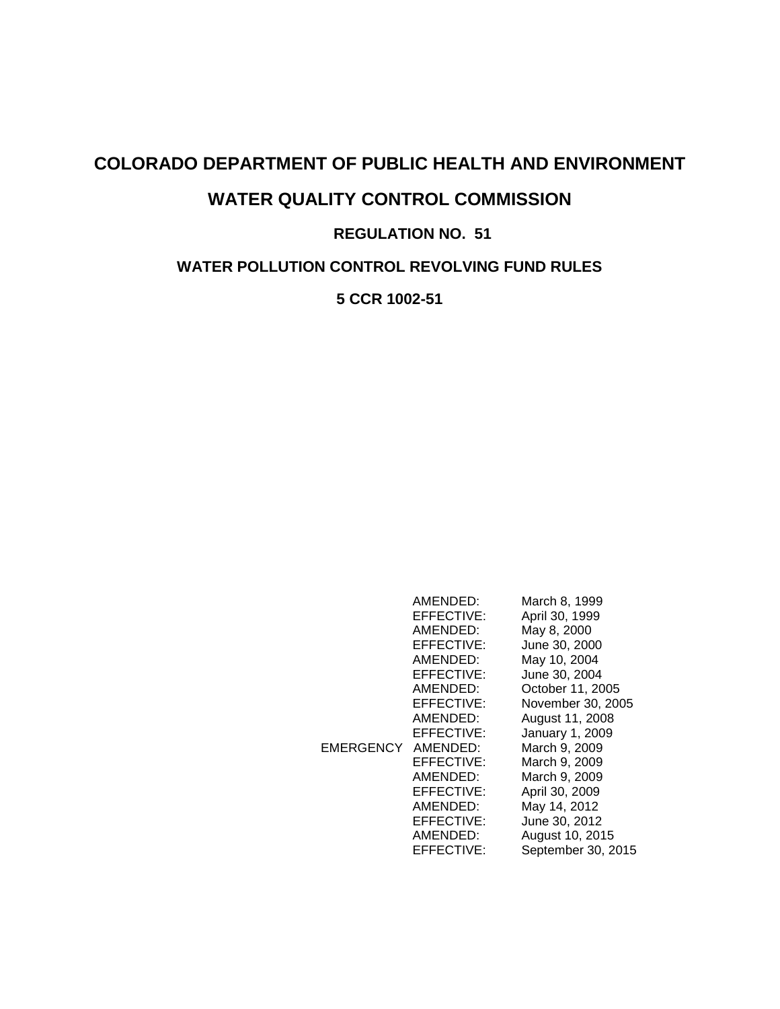# **COLORADO DEPARTMENT OF PUBLIC HEALTH AND ENVIRONMENT WATER QUALITY CONTROL COMMISSION REGULATION NO. 51**

**WATER POLLUTION CONTROL REVOLVING FUND RULES**

**5 CCR 1002-51**

| EMERGENCY AMENDED: | AMENDED:<br>EFFECTIVE:<br>AMENDED:<br>EFFECTIVE:<br>AMENDED:<br>EFFECTIVE:<br>AMENDED:<br>EFFECTIVE:<br>AMENDED:<br>EFFECTIVE:<br>EFFECTIVE:<br>AMENDED: | March 8, 1999<br>April 30, 1999<br>May 8, 2000<br>June 30, 2000<br>May 10, 2004<br>June 30, 2004<br>October 11, 2005<br>November 30, 2005<br>August 11, 2008<br>January 1, 2009<br>March 9, 2009<br>March 9, 2009<br>March 9, 2009 |
|--------------------|----------------------------------------------------------------------------------------------------------------------------------------------------------|------------------------------------------------------------------------------------------------------------------------------------------------------------------------------------------------------------------------------------|
|                    | EFFECTIVE:<br>AMENDED:<br>EFFECTIVE:<br>AMENDED:                                                                                                         | April 30, 2009<br>May 14, 2012<br>June 30, 2012<br>August 10, 2015                                                                                                                                                                 |
|                    | EFFECTIVE:                                                                                                                                               | September 30, 2015                                                                                                                                                                                                                 |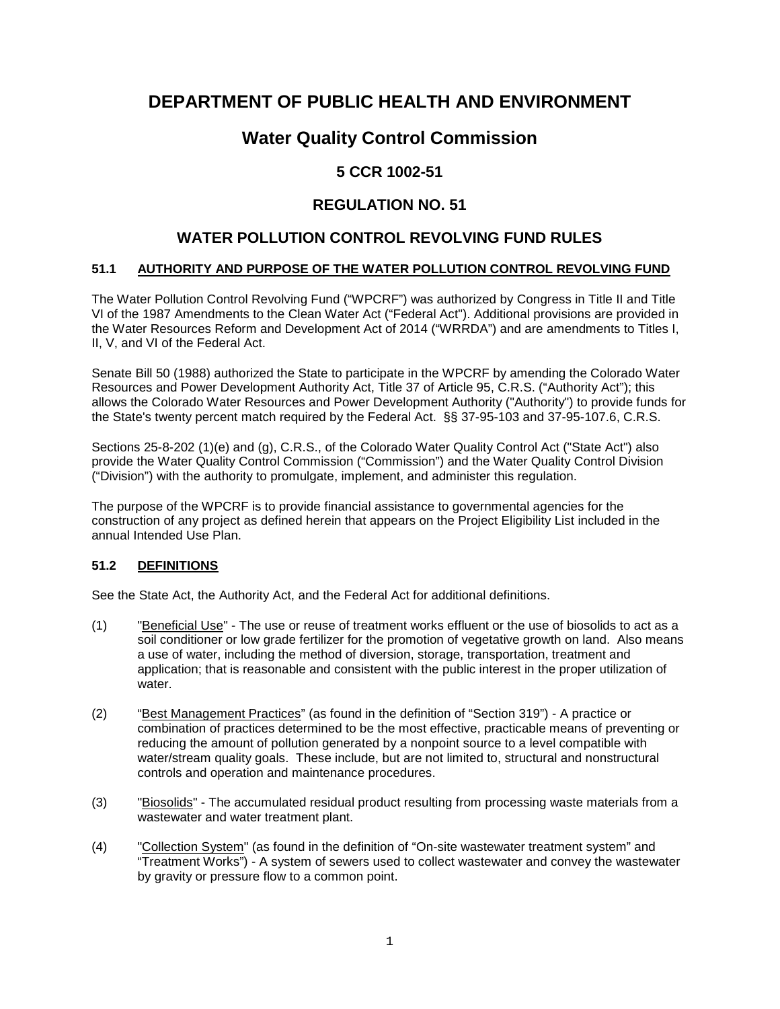# **DEPARTMENT OF PUBLIC HEALTH AND ENVIRONMENT**

# **Water Quality Control Commission**

# **5 CCR 1002-51**

# **REGULATION NO. 51**

# **WATER POLLUTION CONTROL REVOLVING FUND RULES**

## **51.1 AUTHORITY AND PURPOSE OF THE WATER POLLUTION CONTROL REVOLVING FUND**

The Water Pollution Control Revolving Fund ("WPCRF") was authorized by Congress in Title II and Title VI of the 1987 Amendments to the Clean Water Act ("Federal Act"). Additional provisions are provided in the Water Resources Reform and Development Act of 2014 ("WRRDA") and are amendments to Titles I, II, V, and VI of the Federal Act.

Senate Bill 50 (1988) authorized the State to participate in the WPCRF by amending the Colorado Water Resources and Power Development Authority Act, Title 37 of Article 95, C.R.S. ("Authority Act"); this allows the Colorado Water Resources and Power Development Authority ("Authority") to provide funds for the State's twenty percent match required by the Federal Act. §§ 37-95-103 and 37-95-107.6, C.R.S.

Sections 25-8-202 (1)(e) and (g), C.R.S., of the Colorado Water Quality Control Act ("State Act") also provide the Water Quality Control Commission ("Commission") and the Water Quality Control Division ("Division") with the authority to promulgate, implement, and administer this regulation.

The purpose of the WPCRF is to provide financial assistance to governmental agencies for the construction of any project as defined herein that appears on the Project Eligibility List included in the annual Intended Use Plan.

# **51.2 DEFINITIONS**

See the State Act, the Authority Act, and the Federal Act for additional definitions.

- (1) "Beneficial Use" The use or reuse of treatment works effluent or the use of biosolids to act as a soil conditioner or low grade fertilizer for the promotion of vegetative growth on land. Also means a use of water, including the method of diversion, storage, transportation, treatment and application; that is reasonable and consistent with the public interest in the proper utilization of water.
- (2) "Best Management Practices" (as found in the definition of "Section 319") A practice or combination of practices determined to be the most effective, practicable means of preventing or reducing the amount of pollution generated by a nonpoint source to a level compatible with water/stream quality goals. These include, but are not limited to, structural and nonstructural controls and operation and maintenance procedures.
- (3) "Biosolids" The accumulated residual product resulting from processing waste materials from a wastewater and water treatment plant.
- (4) "Collection System" (as found in the definition of "On-site wastewater treatment system" and "Treatment Works") - A system of sewers used to collect wastewater and convey the wastewater by gravity or pressure flow to a common point.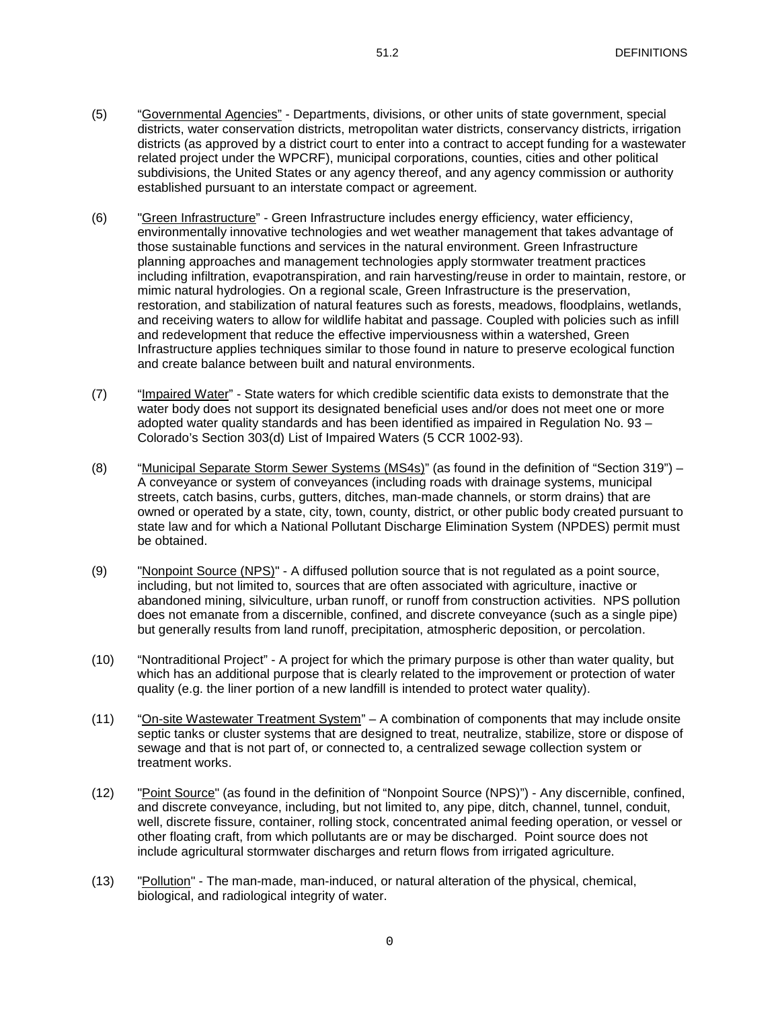- (5) "Governmental Agencies" Departments, divisions, or other units of state government, special districts, water conservation districts, metropolitan water districts, conservancy districts, irrigation districts (as approved by a district court to enter into a contract to accept funding for a wastewater related project under the WPCRF), municipal corporations, counties, cities and other political subdivisions, the United States or any agency thereof, and any agency commission or authority established pursuant to an interstate compact or agreement.
- (6) "Green Infrastructure" Green Infrastructure includes energy efficiency, water efficiency, environmentally innovative technologies and wet weather management that takes advantage of those sustainable functions and services in the natural environment. Green Infrastructure planning approaches and management technologies apply stormwater treatment practices including infiltration, evapotranspiration, and rain harvesting/reuse in order to maintain, restore, or mimic natural hydrologies. On a regional scale, Green Infrastructure is the preservation, restoration, and stabilization of natural features such as forests, meadows, floodplains, wetlands, and receiving waters to allow for wildlife habitat and passage. Coupled with policies such as infill and redevelopment that reduce the effective imperviousness within a watershed, Green Infrastructure applies techniques similar to those found in nature to preserve ecological function and create balance between built and natural environments.
- (7) "Impaired Water" State waters for which credible scientific data exists to demonstrate that the water body does not support its designated beneficial uses and/or does not meet one or more adopted water quality standards and has been identified as impaired in Regulation No. 93 – Colorado's Section 303(d) List of Impaired Waters (5 CCR 1002-93).
- (8) "Municipal Separate Storm Sewer Systems (MS4s)" (as found in the definition of "Section 319") A conveyance or system of conveyances (including roads with drainage systems, municipal streets, catch basins, curbs, gutters, ditches, man-made channels, or storm drains) that are owned or operated by a state, city, town, county, district, or other public body created pursuant to state law and for which a National Pollutant Discharge Elimination System (NPDES) permit must be obtained.
- (9) "Nonpoint Source (NPS)" A diffused pollution source that is not regulated as a point source, including, but not limited to, sources that are often associated with agriculture, inactive or abandoned mining, silviculture, urban runoff, or runoff from construction activities. NPS pollution does not emanate from a discernible, confined, and discrete conveyance (such as a single pipe) but generally results from land runoff, precipitation, atmospheric deposition, or percolation.
- (10) "Nontraditional Project" A project for which the primary purpose is other than water quality, but which has an additional purpose that is clearly related to the improvement or protection of water quality (e.g. the liner portion of a new landfill is intended to protect water quality).
- (11) "On-site Wastewater Treatment System" A combination of components that may include onsite septic tanks or cluster systems that are designed to treat, neutralize, stabilize, store or dispose of sewage and that is not part of, or connected to, a centralized sewage collection system or treatment works.
- (12) "Point Source" (as found in the definition of "Nonpoint Source (NPS)") Any discernible, confined, and discrete conveyance, including, but not limited to, any pipe, ditch, channel, tunnel, conduit, well, discrete fissure, container, rolling stock, concentrated animal feeding operation, or vessel or other floating craft, from which pollutants are or may be discharged. Point source does not include agricultural stormwater discharges and return flows from irrigated agriculture.
- (13) "Pollution" The man-made, man-induced, or natural alteration of the physical, chemical, biological, and radiological integrity of water.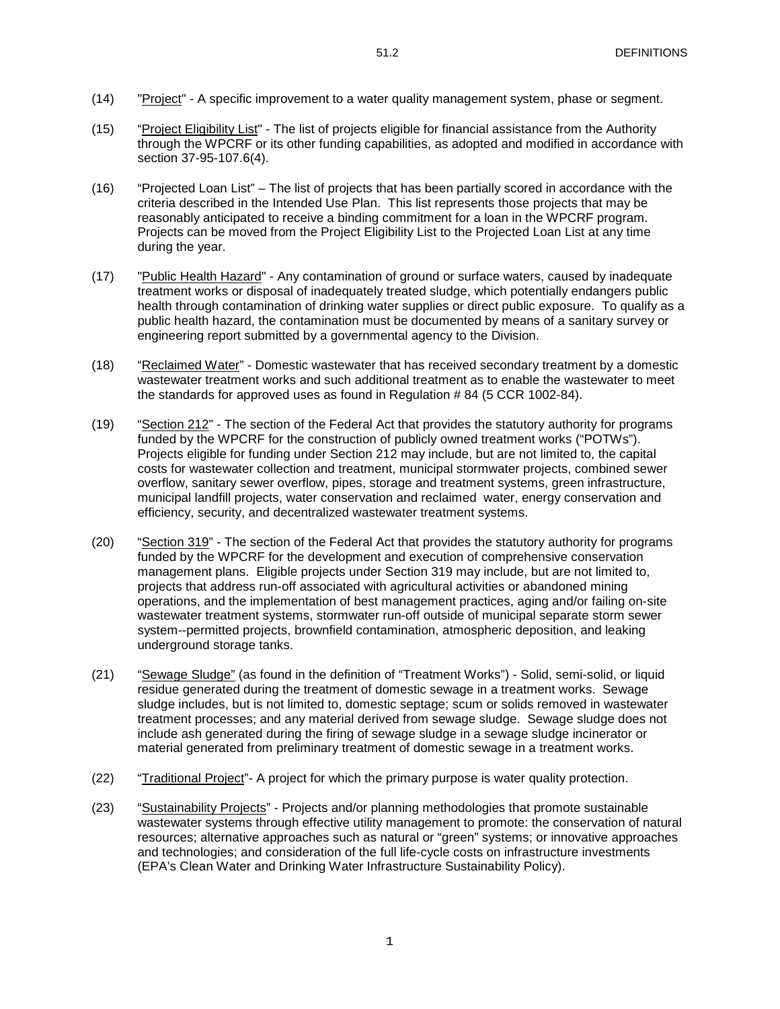- (14) "Project" A specific improvement to a water quality management system, phase or segment.
- (15) "Project Eligibility List" The list of projects eligible for financial assistance from the Authority through the WPCRF or its other funding capabilities, as adopted and modified in accordance with section 37-95-107.6(4).
- (16) "Projected Loan List" The list of projects that has been partially scored in accordance with the criteria described in the Intended Use Plan. This list represents those projects that may be reasonably anticipated to receive a binding commitment for a loan in the WPCRF program. Projects can be moved from the Project Eligibility List to the Projected Loan List at any time during the year.
- (17) "Public Health Hazard" Any contamination of ground or surface waters, caused by inadequate treatment works or disposal of inadequately treated sludge, which potentially endangers public health through contamination of drinking water supplies or direct public exposure. To qualify as a public health hazard, the contamination must be documented by means of a sanitary survey or engineering report submitted by a governmental agency to the Division.
- (18) "Reclaimed Water" Domestic wastewater that has received secondary treatment by a domestic wastewater treatment works and such additional treatment as to enable the wastewater to meet the standards for approved uses as found in Regulation # 84 (5 CCR 1002-84).
- (19) "Section 212" The section of the Federal Act that provides the statutory authority for programs funded by the WPCRF for the construction of publicly owned treatment works ("POTWs"). Projects eligible for funding under Section 212 may include, but are not limited to, the capital costs for wastewater collection and treatment, municipal stormwater projects, combined sewer overflow, sanitary sewer overflow, pipes, storage and treatment systems, green infrastructure, municipal landfill projects, water conservation and reclaimed water, energy conservation and efficiency, security, and decentralized wastewater treatment systems.
- (20) "Section 319" The section of the Federal Act that provides the statutory authority for programs funded by the WPCRF for the development and execution of comprehensive conservation management plans. Eligible projects under Section 319 may include, but are not limited to, projects that address run-off associated with agricultural activities or abandoned mining operations, and the implementation of best management practices, aging and/or failing on-site wastewater treatment systems, stormwater run-off outside of municipal separate storm sewer system--permitted projects, brownfield contamination, atmospheric deposition, and leaking underground storage tanks.
- (21) "Sewage Sludge" (as found in the definition of "Treatment Works") Solid, semi-solid, or liquid residue generated during the treatment of domestic sewage in a treatment works. Sewage sludge includes, but is not limited to, domestic septage; scum or solids removed in wastewater treatment processes; and any material derived from sewage sludge. Sewage sludge does not include ash generated during the firing of sewage sludge in a sewage sludge incinerator or material generated from preliminary treatment of domestic sewage in a treatment works.
- (22) "Traditional Project"- A project for which the primary purpose is water quality protection.
- (23) "Sustainability Projects" Projects and/or planning methodologies that promote sustainable wastewater systems through effective utility management to promote: the conservation of natural resources; alternative approaches such as natural or "green" systems; or innovative approaches and technologies; and consideration of the full life-cycle costs on infrastructure investments (EPA's Clean Water and Drinking Water Infrastructure Sustainability Policy).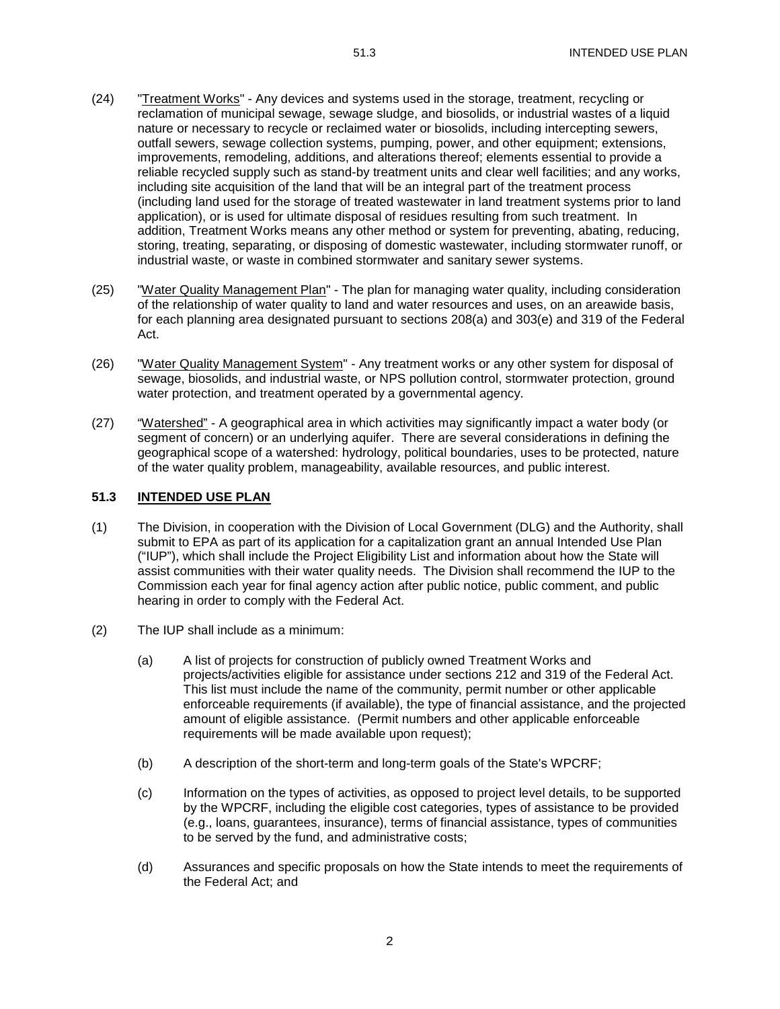- (24) "Treatment Works" Any devices and systems used in the storage, treatment, recycling or reclamation of municipal sewage, sewage sludge, and biosolids, or industrial wastes of a liquid nature or necessary to recycle or reclaimed water or biosolids, including intercepting sewers, outfall sewers, sewage collection systems, pumping, power, and other equipment; extensions, improvements, remodeling, additions, and alterations thereof; elements essential to provide a reliable recycled supply such as stand-by treatment units and clear well facilities; and any works, including site acquisition of the land that will be an integral part of the treatment process (including land used for the storage of treated wastewater in land treatment systems prior to land application), or is used for ultimate disposal of residues resulting from such treatment. In addition, Treatment Works means any other method or system for preventing, abating, reducing, storing, treating, separating, or disposing of domestic wastewater, including stormwater runoff, or industrial waste, or waste in combined stormwater and sanitary sewer systems.
- (25) "Water Quality Management Plan" The plan for managing water quality, including consideration of the relationship of water quality to land and water resources and uses, on an areawide basis, for each planning area designated pursuant to sections 208(a) and 303(e) and 319 of the Federal Act.
- (26) "Water Quality Management System" Any treatment works or any other system for disposal of sewage, biosolids, and industrial waste, or NPS pollution control, stormwater protection, ground water protection, and treatment operated by a governmental agency.
- (27) "Watershed" A geographical area in which activities may significantly impact a water body (or segment of concern) or an underlying aquifer. There are several considerations in defining the geographical scope of a watershed: hydrology, political boundaries, uses to be protected, nature of the water quality problem, manageability, available resources, and public interest.

#### **51.3 INTENDED USE PLAN**

- (1) The Division, in cooperation with the Division of Local Government (DLG) and the Authority, shall submit to EPA as part of its application for a capitalization grant an annual Intended Use Plan ("IUP"), which shall include the Project Eligibility List and information about how the State will assist communities with their water quality needs. The Division shall recommend the IUP to the Commission each year for final agency action after public notice, public comment, and public hearing in order to comply with the Federal Act.
- (2) The IUP shall include as a minimum:
	- (a) A list of projects for construction of publicly owned Treatment Works and projects/activities eligible for assistance under sections 212 and 319 of the Federal Act. This list must include the name of the community, permit number or other applicable enforceable requirements (if available), the type of financial assistance, and the projected amount of eligible assistance. (Permit numbers and other applicable enforceable requirements will be made available upon request);
	- (b) A description of the short-term and long-term goals of the State's WPCRF;
	- (c) Information on the types of activities, as opposed to project level details, to be supported by the WPCRF, including the eligible cost categories, types of assistance to be provided (e.g., loans, guarantees, insurance), terms of financial assistance, types of communities to be served by the fund, and administrative costs;
	- (d) Assurances and specific proposals on how the State intends to meet the requirements of the Federal Act; and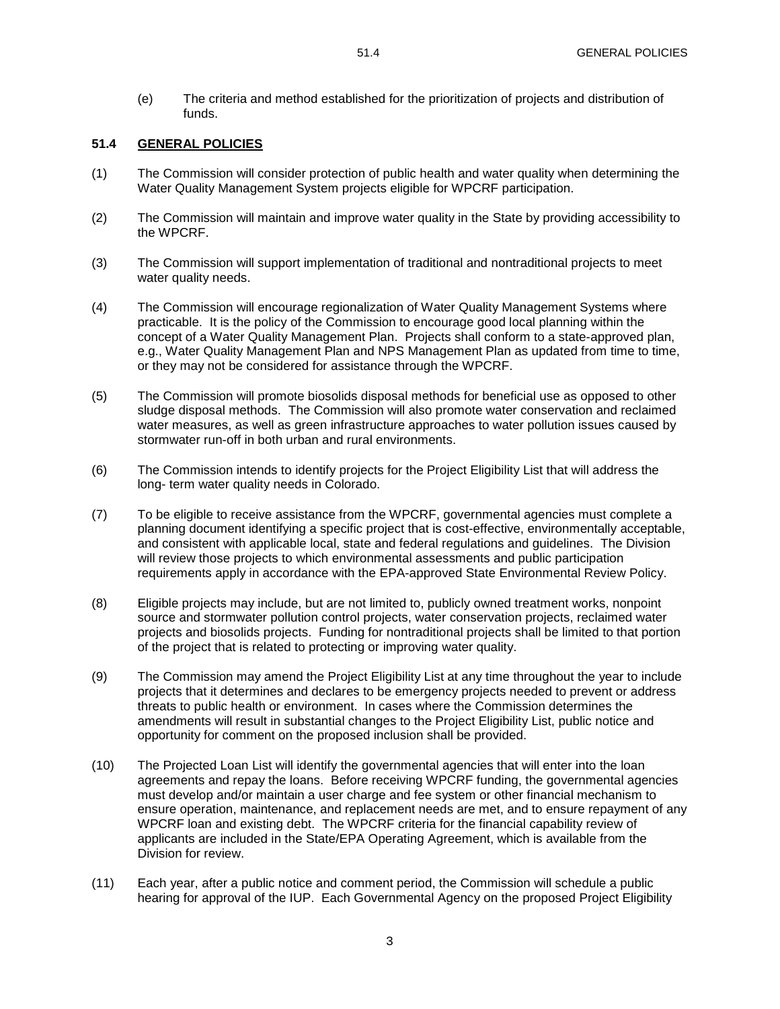(e) The criteria and method established for the prioritization of projects and distribution of funds.

#### **51.4 GENERAL POLICIES**

- (1) The Commission will consider protection of public health and water quality when determining the Water Quality Management System projects eligible for WPCRF participation.
- (2) The Commission will maintain and improve water quality in the State by providing accessibility to the WPCRF.
- (3) The Commission will support implementation of traditional and nontraditional projects to meet water quality needs.
- (4) The Commission will encourage regionalization of Water Quality Management Systems where practicable. It is the policy of the Commission to encourage good local planning within the concept of a Water Quality Management Plan. Projects shall conform to a state-approved plan, e.g., Water Quality Management Plan and NPS Management Plan as updated from time to time, or they may not be considered for assistance through the WPCRF.
- (5) The Commission will promote biosolids disposal methods for beneficial use as opposed to other sludge disposal methods. The Commission will also promote water conservation and reclaimed water measures, as well as green infrastructure approaches to water pollution issues caused by stormwater run-off in both urban and rural environments.
- (6) The Commission intends to identify projects for the Project Eligibility List that will address the long- term water quality needs in Colorado.
- (7) To be eligible to receive assistance from the WPCRF, governmental agencies must complete a planning document identifying a specific project that is cost-effective, environmentally acceptable, and consistent with applicable local, state and federal regulations and guidelines. The Division will review those projects to which environmental assessments and public participation requirements apply in accordance with the EPA-approved State Environmental Review Policy.
- (8) Eligible projects may include, but are not limited to, publicly owned treatment works, nonpoint source and stormwater pollution control projects, water conservation projects, reclaimed water projects and biosolids projects. Funding for nontraditional projects shall be limited to that portion of the project that is related to protecting or improving water quality.
- (9) The Commission may amend the Project Eligibility List at any time throughout the year to include projects that it determines and declares to be emergency projects needed to prevent or address threats to public health or environment. In cases where the Commission determines the amendments will result in substantial changes to the Project Eligibility List, public notice and opportunity for comment on the proposed inclusion shall be provided.
- (10) The Projected Loan List will identify the governmental agencies that will enter into the loan agreements and repay the loans. Before receiving WPCRF funding, the governmental agencies must develop and/or maintain a user charge and fee system or other financial mechanism to ensure operation, maintenance, and replacement needs are met, and to ensure repayment of any WPCRF loan and existing debt. The WPCRF criteria for the financial capability review of applicants are included in the State/EPA Operating Agreement, which is available from the Division for review.
- (11) Each year, after a public notice and comment period, the Commission will schedule a public hearing for approval of the IUP. Each Governmental Agency on the proposed Project Eligibility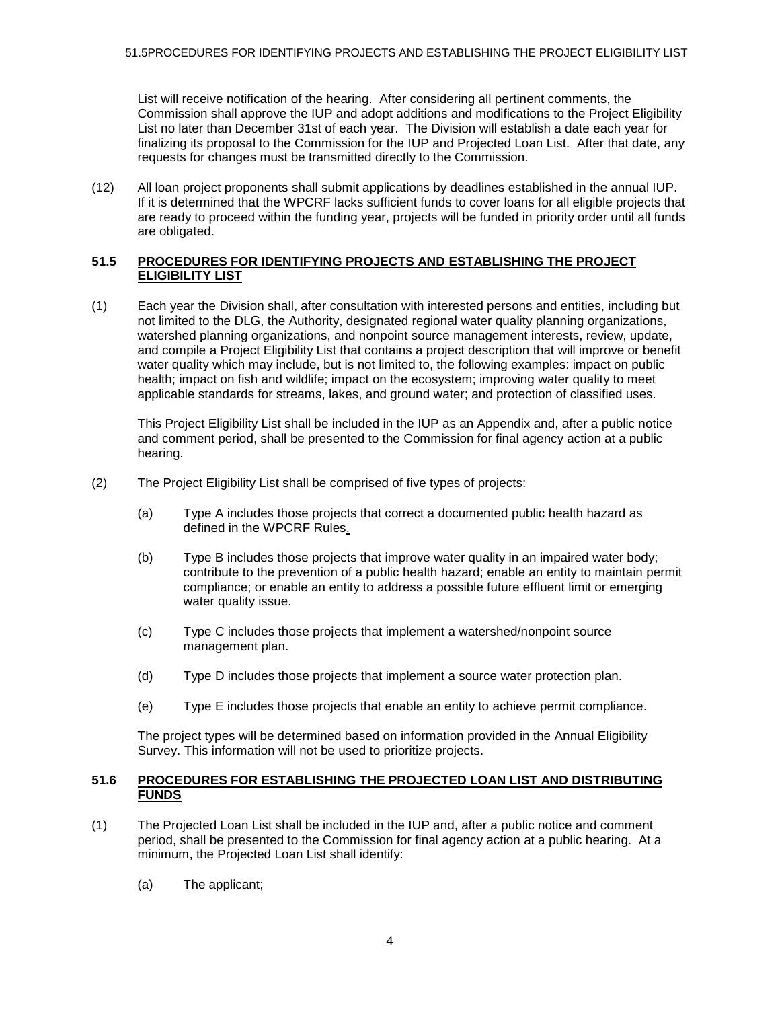List will receive notification of the hearing. After considering all pertinent comments, the Commission shall approve the IUP and adopt additions and modifications to the Project Eligibility List no later than December 31st of each year. The Division will establish a date each year for finalizing its proposal to the Commission for the IUP and Projected Loan List. After that date, any requests for changes must be transmitted directly to the Commission.

(12) All loan project proponents shall submit applications by deadlines established in the annual IUP. If it is determined that the WPCRF lacks sufficient funds to cover loans for all eligible projects that are ready to proceed within the funding year, projects will be funded in priority order until all funds are obligated.

#### **51.5 PROCEDURES FOR IDENTIFYING PROJECTS AND ESTABLISHING THE PROJECT ELIGIBILITY LIST**

(1) Each year the Division shall, after consultation with interested persons and entities, including but not limited to the DLG, the Authority, designated regional water quality planning organizations, watershed planning organizations, and nonpoint source management interests, review, update, and compile a Project Eligibility List that contains a project description that will improve or benefit water quality which may include, but is not limited to, the following examples: impact on public health; impact on fish and wildlife; impact on the ecosystem; improving water quality to meet applicable standards for streams, lakes, and ground water; and protection of classified uses.

This Project Eligibility List shall be included in the IUP as an Appendix and, after a public notice and comment period, shall be presented to the Commission for final agency action at a public hearing.

- (2) The Project Eligibility List shall be comprised of five types of projects:
	- (a) Type A includes those projects that correct a documented public health hazard as defined in the WPCRF Rules.
	- (b) Type B includes those projects that improve water quality in an impaired water body; contribute to the prevention of a public health hazard; enable an entity to maintain permit compliance; or enable an entity to address a possible future effluent limit or emerging water quality issue.
	- (c) Type C includes those projects that implement a watershed/nonpoint source management plan.
	- (d) Type D includes those projects that implement a source water protection plan.
	- (e) Type E includes those projects that enable an entity to achieve permit compliance.

The project types will be determined based on information provided in the Annual Eligibility Survey. This information will not be used to prioritize projects.

#### **51.6 PROCEDURES FOR ESTABLISHING THE PROJECTED LOAN LIST AND DISTRIBUTING FUNDS**

- (1) The Projected Loan List shall be included in the IUP and, after a public notice and comment period, shall be presented to the Commission for final agency action at a public hearing. At a minimum, the Projected Loan List shall identify:
	- (a) The applicant;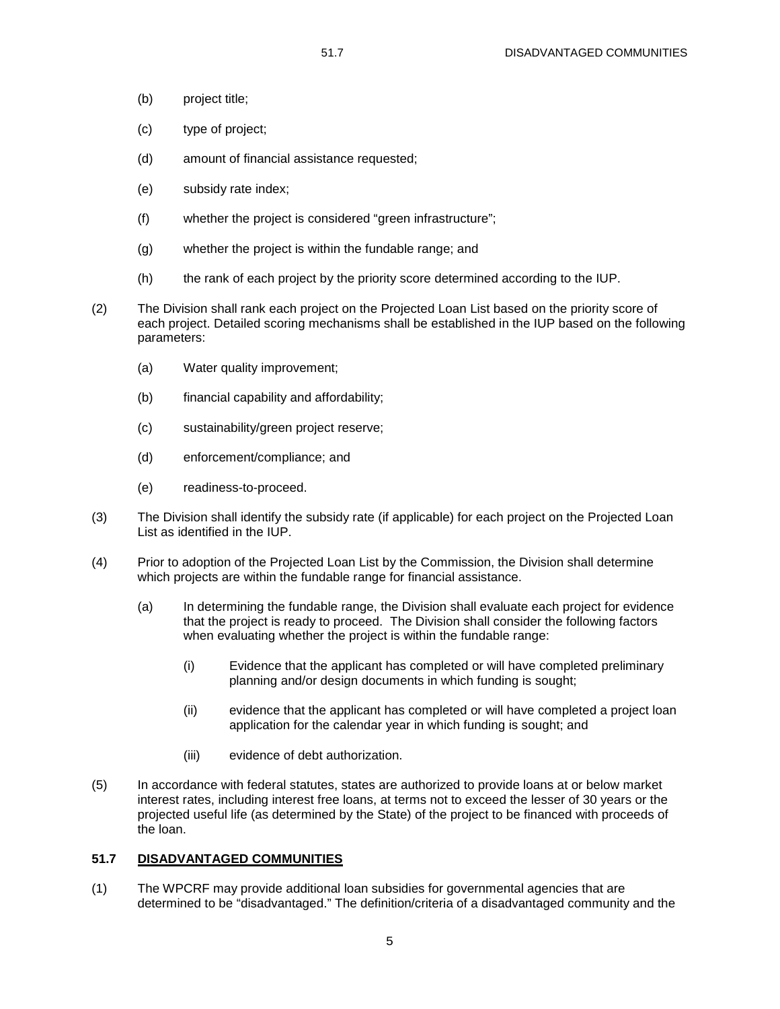- (b) project title;
- (c) type of project;
- (d) amount of financial assistance requested;
- (e) subsidy rate index;
- (f) whether the project is considered "green infrastructure";
- (g) whether the project is within the fundable range; and
- (h) the rank of each project by the priority score determined according to the IUP.
- (2) The Division shall rank each project on the Projected Loan List based on the priority score of each project. Detailed scoring mechanisms shall be established in the IUP based on the following parameters:
	- (a) Water quality improvement;
	- (b) financial capability and affordability;
	- (c) sustainability/green project reserve;
	- (d) enforcement/compliance; and
	- (e) readiness-to-proceed.
- (3) The Division shall identify the subsidy rate (if applicable) for each project on the Projected Loan List as identified in the IUP.
- (4) Prior to adoption of the Projected Loan List by the Commission, the Division shall determine which projects are within the fundable range for financial assistance.
	- (a) In determining the fundable range, the Division shall evaluate each project for evidence that the project is ready to proceed. The Division shall consider the following factors when evaluating whether the project is within the fundable range:
		- (i) Evidence that the applicant has completed or will have completed preliminary planning and/or design documents in which funding is sought;
		- (ii) evidence that the applicant has completed or will have completed a project loan application for the calendar year in which funding is sought; and
		- (iii) evidence of debt authorization.
- (5) In accordance with federal statutes, states are authorized to provide loans at or below market interest rates, including interest free loans, at terms not to exceed the lesser of 30 years or the projected useful life (as determined by the State) of the project to be financed with proceeds of the loan.

#### **51.7 DISADVANTAGED COMMUNITIES**

(1) The WPCRF may provide additional loan subsidies for governmental agencies that are determined to be "disadvantaged." The definition/criteria of a disadvantaged community and the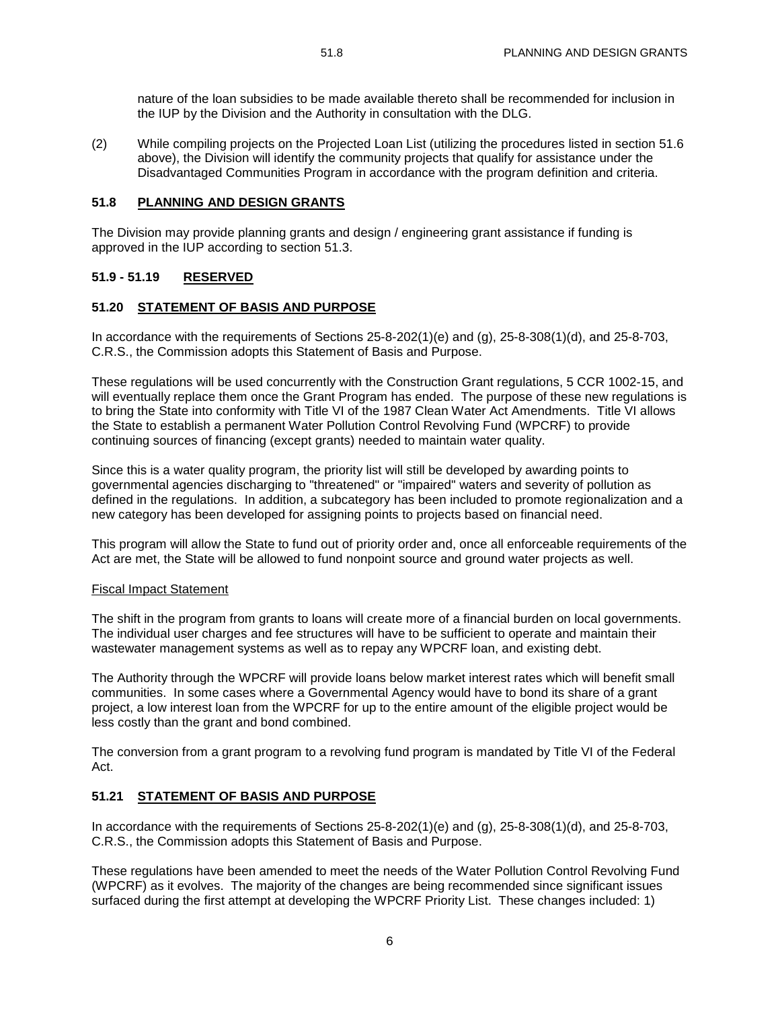nature of the loan subsidies to be made available thereto shall be recommended for inclusion in the IUP by the Division and the Authority in consultation with the DLG.

(2) While compiling projects on the Projected Loan List (utilizing the procedures listed in section 51.6 above), the Division will identify the community projects that qualify for assistance under the Disadvantaged Communities Program in accordance with the program definition and criteria.

#### **51.8 PLANNING AND DESIGN GRANTS**

The Division may provide planning grants and design / engineering grant assistance if funding is approved in the IUP according to section 51.3.

## **51.9 - 51.19 RESERVED**

#### **51.20 STATEMENT OF BASIS AND PURPOSE**

In accordance with the requirements of Sections 25-8-202(1)(e) and (g), 25-8-308(1)(d), and 25-8-703, C.R.S., the Commission adopts this Statement of Basis and Purpose.

These regulations will be used concurrently with the Construction Grant regulations, 5 CCR 1002-15, and will eventually replace them once the Grant Program has ended. The purpose of these new regulations is to bring the State into conformity with Title VI of the 1987 Clean Water Act Amendments. Title VI allows the State to establish a permanent Water Pollution Control Revolving Fund (WPCRF) to provide continuing sources of financing (except grants) needed to maintain water quality.

Since this is a water quality program, the priority list will still be developed by awarding points to governmental agencies discharging to "threatened" or "impaired" waters and severity of pollution as defined in the regulations. In addition, a subcategory has been included to promote regionalization and a new category has been developed for assigning points to projects based on financial need.

This program will allow the State to fund out of priority order and, once all enforceable requirements of the Act are met, the State will be allowed to fund nonpoint source and ground water projects as well.

#### Fiscal Impact Statement

The shift in the program from grants to loans will create more of a financial burden on local governments. The individual user charges and fee structures will have to be sufficient to operate and maintain their wastewater management systems as well as to repay any WPCRF loan, and existing debt.

The Authority through the WPCRF will provide loans below market interest rates which will benefit small communities. In some cases where a Governmental Agency would have to bond its share of a grant project, a low interest loan from the WPCRF for up to the entire amount of the eligible project would be less costly than the grant and bond combined.

The conversion from a grant program to a revolving fund program is mandated by Title VI of the Federal Act.

#### **51.21 STATEMENT OF BASIS AND PURPOSE**

In accordance with the requirements of Sections 25-8-202(1)(e) and (g), 25-8-308(1)(d), and 25-8-703, C.R.S., the Commission adopts this Statement of Basis and Purpose.

These regulations have been amended to meet the needs of the Water Pollution Control Revolving Fund (WPCRF) as it evolves. The majority of the changes are being recommended since significant issues surfaced during the first attempt at developing the WPCRF Priority List. These changes included: 1)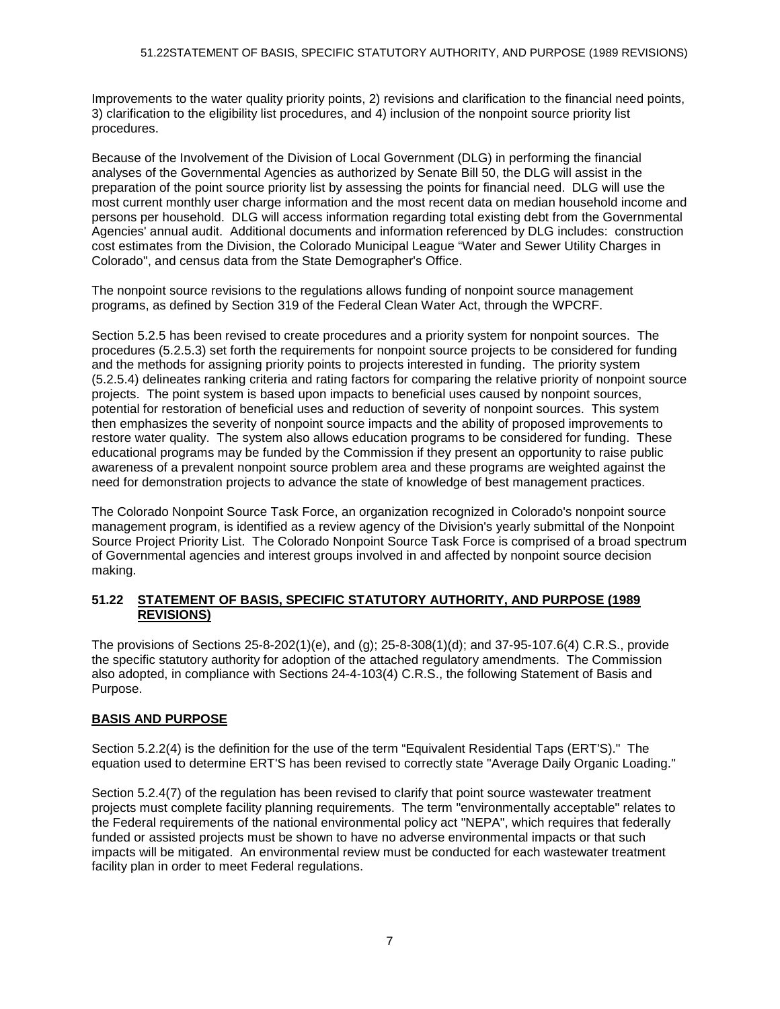Improvements to the water quality priority points, 2) revisions and clarification to the financial need points, 3) clarification to the eligibility list procedures, and 4) inclusion of the nonpoint source priority list procedures.

Because of the Involvement of the Division of Local Government (DLG) in performing the financial analyses of the Governmental Agencies as authorized by Senate Bill 50, the DLG will assist in the preparation of the point source priority list by assessing the points for financial need. DLG will use the most current monthly user charge information and the most recent data on median household income and persons per household. DLG will access information regarding total existing debt from the Governmental Agencies' annual audit. Additional documents and information referenced by DLG includes: construction cost estimates from the Division, the Colorado Municipal League "Water and Sewer Utility Charges in Colorado", and census data from the State Demographer's Office.

The nonpoint source revisions to the regulations allows funding of nonpoint source management programs, as defined by Section 319 of the Federal Clean Water Act, through the WPCRF.

Section 5.2.5 has been revised to create procedures and a priority system for nonpoint sources. The procedures (5.2.5.3) set forth the requirements for nonpoint source projects to be considered for funding and the methods for assigning priority points to projects interested in funding. The priority system (5.2.5.4) delineates ranking criteria and rating factors for comparing the relative priority of nonpoint source projects. The point system is based upon impacts to beneficial uses caused by nonpoint sources, potential for restoration of beneficial uses and reduction of severity of nonpoint sources. This system then emphasizes the severity of nonpoint source impacts and the ability of proposed improvements to restore water quality. The system also allows education programs to be considered for funding. These educational programs may be funded by the Commission if they present an opportunity to raise public awareness of a prevalent nonpoint source problem area and these programs are weighted against the need for demonstration projects to advance the state of knowledge of best management practices.

The Colorado Nonpoint Source Task Force, an organization recognized in Colorado's nonpoint source management program, is identified as a review agency of the Division's yearly submittal of the Nonpoint Source Project Priority List. The Colorado Nonpoint Source Task Force is comprised of a broad spectrum of Governmental agencies and interest groups involved in and affected by nonpoint source decision making.

#### **51.22 STATEMENT OF BASIS, SPECIFIC STATUTORY AUTHORITY, AND PURPOSE (1989 REVISIONS)**

The provisions of Sections 25-8-202(1)(e), and (g); 25-8-308(1)(d); and 37-95-107.6(4) C.R.S., provide the specific statutory authority for adoption of the attached regulatory amendments. The Commission also adopted, in compliance with Sections 24-4-103(4) C.R.S., the following Statement of Basis and Purpose.

# **BASIS AND PURPOSE**

Section 5.2.2(4) is the definition for the use of the term "Equivalent Residential Taps (ERT'S)." The equation used to determine ERT'S has been revised to correctly state "Average Daily Organic Loading."

Section 5.2.4(7) of the regulation has been revised to clarify that point source wastewater treatment projects must complete facility planning requirements. The term "environmentally acceptable" relates to the Federal requirements of the national environmental policy act "NEPA", which requires that federally funded or assisted projects must be shown to have no adverse environmental impacts or that such impacts will be mitigated. An environmental review must be conducted for each wastewater treatment facility plan in order to meet Federal regulations.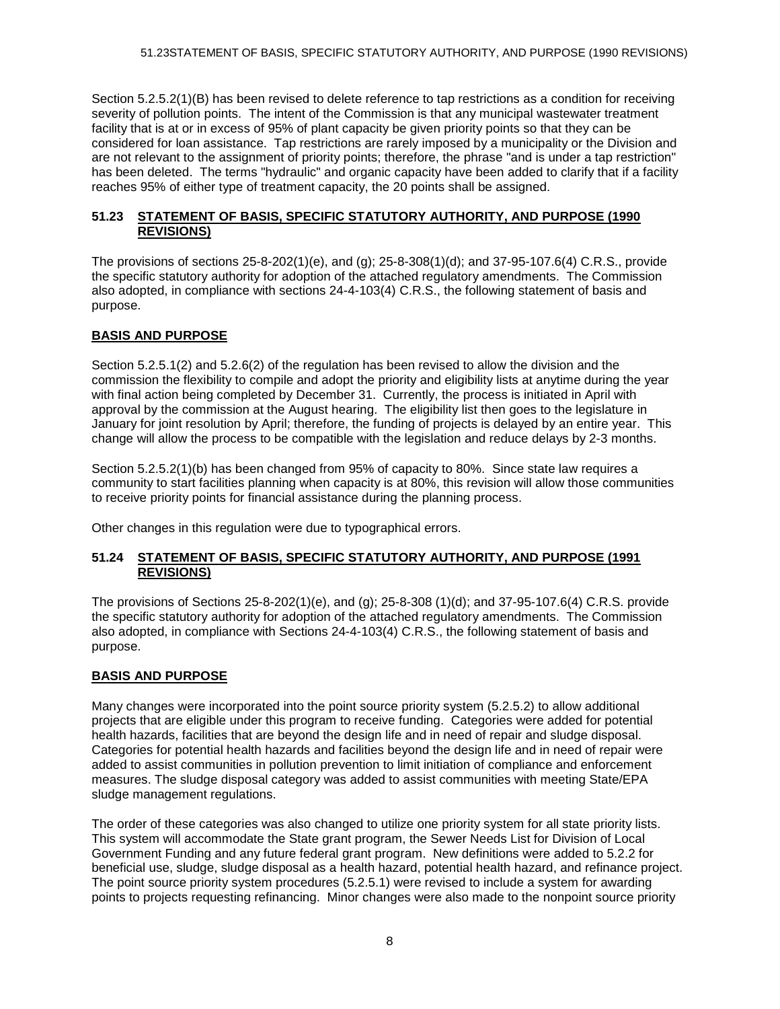Section 5.2.5.2(1)(B) has been revised to delete reference to tap restrictions as a condition for receiving severity of pollution points. The intent of the Commission is that any municipal wastewater treatment facility that is at or in excess of 95% of plant capacity be given priority points so that they can be considered for loan assistance. Tap restrictions are rarely imposed by a municipality or the Division and are not relevant to the assignment of priority points; therefore, the phrase "and is under a tap restriction" has been deleted. The terms "hydraulic" and organic capacity have been added to clarify that if a facility reaches 95% of either type of treatment capacity, the 20 points shall be assigned.

#### **51.23 STATEMENT OF BASIS, SPECIFIC STATUTORY AUTHORITY, AND PURPOSE (1990 REVISIONS)**

The provisions of sections 25-8-202(1)(e), and (g); 25-8-308(1)(d); and 37-95-107.6(4) C.R.S., provide the specific statutory authority for adoption of the attached regulatory amendments. The Commission also adopted, in compliance with sections 24-4-103(4) C.R.S., the following statement of basis and purpose.

## **BASIS AND PURPOSE**

Section 5.2.5.1(2) and 5.2.6(2) of the regulation has been revised to allow the division and the commission the flexibility to compile and adopt the priority and eligibility lists at anytime during the year with final action being completed by December 31. Currently, the process is initiated in April with approval by the commission at the August hearing. The eligibility list then goes to the legislature in January for joint resolution by April; therefore, the funding of projects is delayed by an entire year. This change will allow the process to be compatible with the legislation and reduce delays by 2-3 months.

Section 5.2.5.2(1)(b) has been changed from 95% of capacity to 80%. Since state law requires a community to start facilities planning when capacity is at 80%, this revision will allow those communities to receive priority points for financial assistance during the planning process.

Other changes in this regulation were due to typographical errors.

#### **51.24 STATEMENT OF BASIS, SPECIFIC STATUTORY AUTHORITY, AND PURPOSE (1991 REVISIONS)**

The provisions of Sections 25-8-202(1)(e), and (g); 25-8-308 (1)(d); and 37-95-107.6(4) C.R.S. provide the specific statutory authority for adoption of the attached regulatory amendments. The Commission also adopted, in compliance with Sections 24-4-103(4) C.R.S., the following statement of basis and purpose.

## **BASIS AND PURPOSE**

Many changes were incorporated into the point source priority system (5.2.5.2) to allow additional projects that are eligible under this program to receive funding. Categories were added for potential health hazards, facilities that are beyond the design life and in need of repair and sludge disposal. Categories for potential health hazards and facilities beyond the design life and in need of repair were added to assist communities in pollution prevention to limit initiation of compliance and enforcement measures. The sludge disposal category was added to assist communities with meeting State/EPA sludge management regulations.

The order of these categories was also changed to utilize one priority system for all state priority lists. This system will accommodate the State grant program, the Sewer Needs List for Division of Local Government Funding and any future federal grant program. New definitions were added to 5.2.2 for beneficial use, sludge, sludge disposal as a health hazard, potential health hazard, and refinance project. The point source priority system procedures (5.2.5.1) were revised to include a system for awarding points to projects requesting refinancing. Minor changes were also made to the nonpoint source priority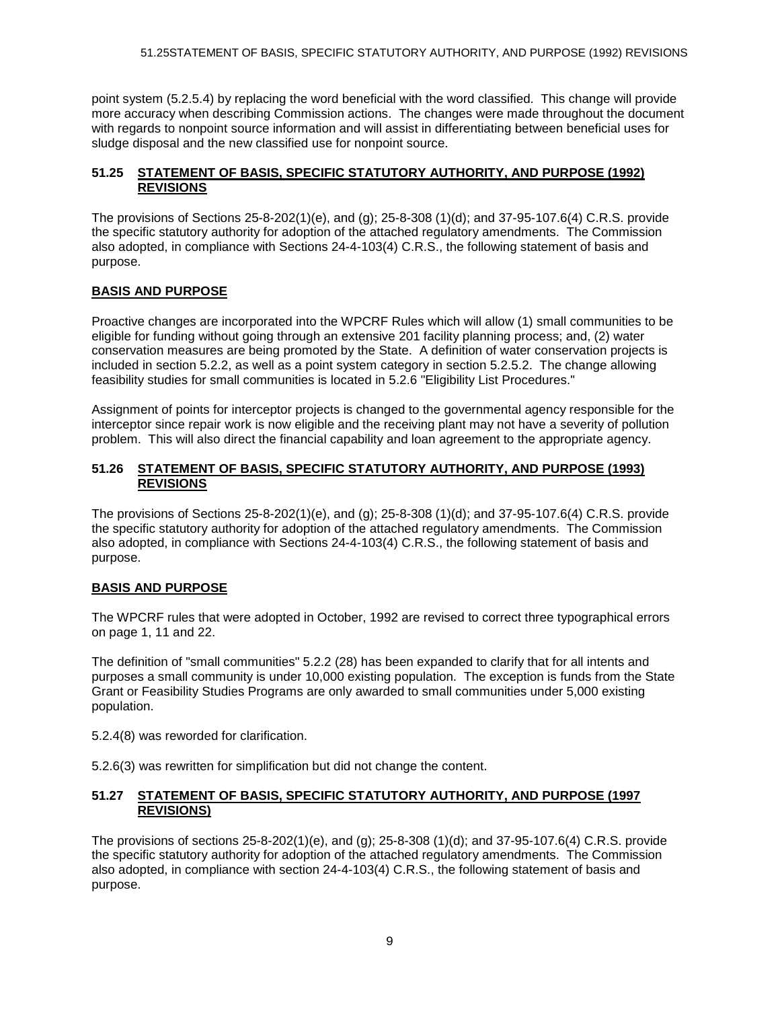point system (5.2.5.4) by replacing the word beneficial with the word classified. This change will provide more accuracy when describing Commission actions. The changes were made throughout the document with regards to nonpoint source information and will assist in differentiating between beneficial uses for sludge disposal and the new classified use for nonpoint source.

## **51.25 STATEMENT OF BASIS, SPECIFIC STATUTORY AUTHORITY, AND PURPOSE (1992) REVISIONS**

The provisions of Sections 25-8-202(1)(e), and (g); 25-8-308 (1)(d); and 37-95-107.6(4) C.R.S. provide the specific statutory authority for adoption of the attached regulatory amendments. The Commission also adopted, in compliance with Sections 24-4-103(4) C.R.S., the following statement of basis and purpose.

## **BASIS AND PURPOSE**

Proactive changes are incorporated into the WPCRF Rules which will allow (1) small communities to be eligible for funding without going through an extensive 201 facility planning process; and, (2) water conservation measures are being promoted by the State. A definition of water conservation projects is included in section 5.2.2, as well as a point system category in section 5.2.5.2. The change allowing feasibility studies for small communities is located in 5.2.6 "Eligibility List Procedures."

Assignment of points for interceptor projects is changed to the governmental agency responsible for the interceptor since repair work is now eligible and the receiving plant may not have a severity of pollution problem. This will also direct the financial capability and loan agreement to the appropriate agency.

#### **51.26 STATEMENT OF BASIS, SPECIFIC STATUTORY AUTHORITY, AND PURPOSE (1993) REVISIONS**

The provisions of Sections 25-8-202(1)(e), and (g); 25-8-308 (1)(d); and 37-95-107.6(4) C.R.S. provide the specific statutory authority for adoption of the attached regulatory amendments. The Commission also adopted, in compliance with Sections 24-4-103(4) C.R.S., the following statement of basis and purpose.

## **BASIS AND PURPOSE**

The WPCRF rules that were adopted in October, 1992 are revised to correct three typographical errors on page 1, 11 and 22.

The definition of "small communities" 5.2.2 (28) has been expanded to clarify that for all intents and purposes a small community is under 10,000 existing population. The exception is funds from the State Grant or Feasibility Studies Programs are only awarded to small communities under 5,000 existing population.

5.2.4(8) was reworded for clarification.

5.2.6(3) was rewritten for simplification but did not change the content.

#### **51.27 STATEMENT OF BASIS, SPECIFIC STATUTORY AUTHORITY, AND PURPOSE (1997 REVISIONS)**

The provisions of sections 25-8-202(1)(e), and (g); 25-8-308 (1)(d); and 37-95-107.6(4) C.R.S. provide the specific statutory authority for adoption of the attached regulatory amendments. The Commission also adopted, in compliance with section 24-4-103(4) C.R.S., the following statement of basis and purpose.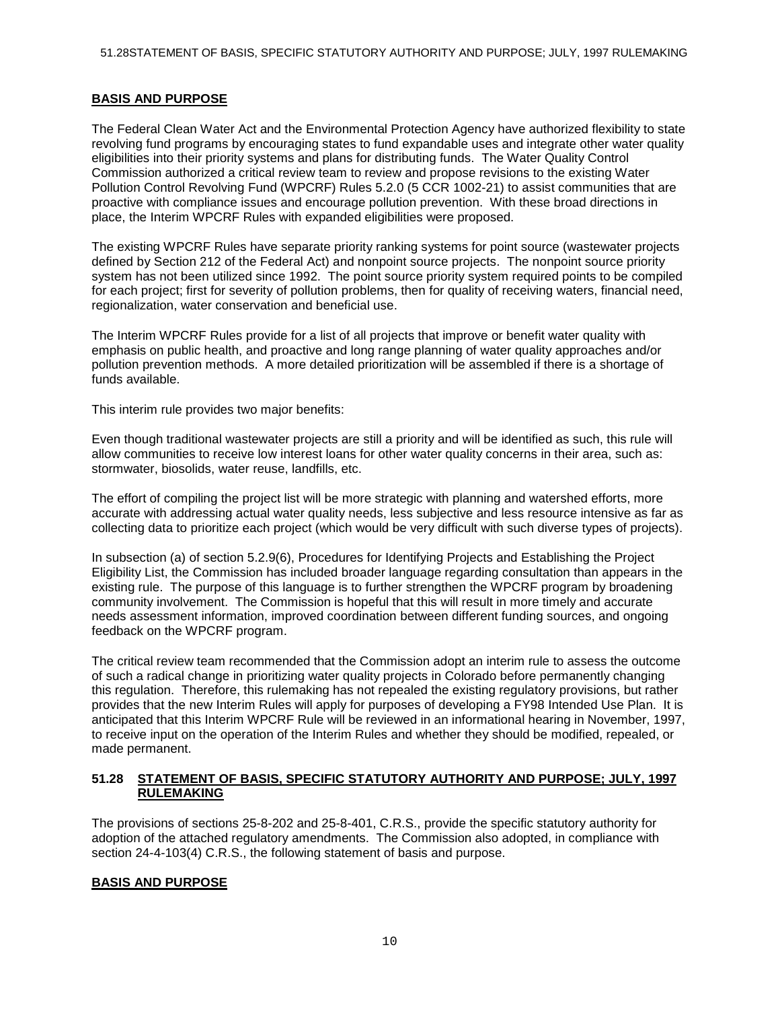### **BASIS AND PURPOSE**

The Federal Clean Water Act and the Environmental Protection Agency have authorized flexibility to state revolving fund programs by encouraging states to fund expandable uses and integrate other water quality eligibilities into their priority systems and plans for distributing funds. The Water Quality Control Commission authorized a critical review team to review and propose revisions to the existing Water Pollution Control Revolving Fund (WPCRF) Rules 5.2.0 (5 CCR 1002-21) to assist communities that are proactive with compliance issues and encourage pollution prevention. With these broad directions in place, the Interim WPCRF Rules with expanded eligibilities were proposed.

The existing WPCRF Rules have separate priority ranking systems for point source (wastewater projects defined by Section 212 of the Federal Act) and nonpoint source projects. The nonpoint source priority system has not been utilized since 1992. The point source priority system required points to be compiled for each project; first for severity of pollution problems, then for quality of receiving waters, financial need, regionalization, water conservation and beneficial use.

The Interim WPCRF Rules provide for a list of all projects that improve or benefit water quality with emphasis on public health, and proactive and long range planning of water quality approaches and/or pollution prevention methods. A more detailed prioritization will be assembled if there is a shortage of funds available.

This interim rule provides two major benefits:

Even though traditional wastewater projects are still a priority and will be identified as such, this rule will allow communities to receive low interest loans for other water quality concerns in their area, such as: stormwater, biosolids, water reuse, landfills, etc.

The effort of compiling the project list will be more strategic with planning and watershed efforts, more accurate with addressing actual water quality needs, less subjective and less resource intensive as far as collecting data to prioritize each project (which would be very difficult with such diverse types of projects).

In subsection (a) of section 5.2.9(6), Procedures for Identifying Projects and Establishing the Project Eligibility List, the Commission has included broader language regarding consultation than appears in the existing rule. The purpose of this language is to further strengthen the WPCRF program by broadening community involvement. The Commission is hopeful that this will result in more timely and accurate needs assessment information, improved coordination between different funding sources, and ongoing feedback on the WPCRF program.

The critical review team recommended that the Commission adopt an interim rule to assess the outcome of such a radical change in prioritizing water quality projects in Colorado before permanently changing this regulation. Therefore, this rulemaking has not repealed the existing regulatory provisions, but rather provides that the new Interim Rules will apply for purposes of developing a FY98 Intended Use Plan. It is anticipated that this Interim WPCRF Rule will be reviewed in an informational hearing in November, 1997, to receive input on the operation of the Interim Rules and whether they should be modified, repealed, or made permanent.

#### **51.28 STATEMENT OF BASIS, SPECIFIC STATUTORY AUTHORITY AND PURPOSE; JULY, 1997 RULEMAKING**

The provisions of sections 25-8-202 and 25-8-401, C.R.S., provide the specific statutory authority for adoption of the attached regulatory amendments. The Commission also adopted, in compliance with section 24-4-103(4) C.R.S., the following statement of basis and purpose.

## **BASIS AND PURPOSE**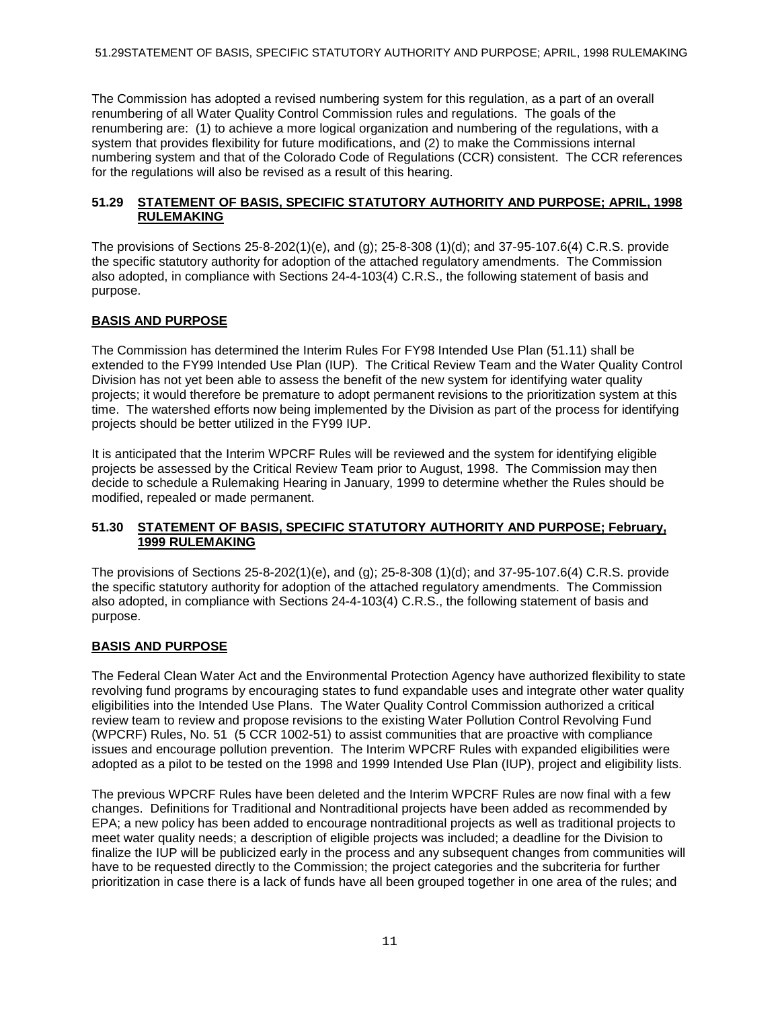The Commission has adopted a revised numbering system for this regulation, as a part of an overall renumbering of all Water Quality Control Commission rules and regulations. The goals of the renumbering are: (1) to achieve a more logical organization and numbering of the regulations, with a system that provides flexibility for future modifications, and (2) to make the Commissions internal numbering system and that of the Colorado Code of Regulations (CCR) consistent. The CCR references for the regulations will also be revised as a result of this hearing.

### **51.29 STATEMENT OF BASIS, SPECIFIC STATUTORY AUTHORITY AND PURPOSE; APRIL, 1998 RULEMAKING**

The provisions of Sections 25-8-202(1)(e), and (g); 25-8-308 (1)(d); and 37-95-107.6(4) C.R.S. provide the specific statutory authority for adoption of the attached regulatory amendments. The Commission also adopted, in compliance with Sections 24-4-103(4) C.R.S., the following statement of basis and purpose.

## **BASIS AND PURPOSE**

The Commission has determined the Interim Rules For FY98 Intended Use Plan (51.11) shall be extended to the FY99 Intended Use Plan (IUP). The Critical Review Team and the Water Quality Control Division has not yet been able to assess the benefit of the new system for identifying water quality projects; it would therefore be premature to adopt permanent revisions to the prioritization system at this time. The watershed efforts now being implemented by the Division as part of the process for identifying projects should be better utilized in the FY99 IUP.

It is anticipated that the Interim WPCRF Rules will be reviewed and the system for identifying eligible projects be assessed by the Critical Review Team prior to August, 1998. The Commission may then decide to schedule a Rulemaking Hearing in January, 1999 to determine whether the Rules should be modified, repealed or made permanent.

#### **51.30 STATEMENT OF BASIS, SPECIFIC STATUTORY AUTHORITY AND PURPOSE; February, 1999 RULEMAKING**

The provisions of Sections 25-8-202(1)(e), and (g); 25-8-308 (1)(d); and 37-95-107.6(4) C.R.S. provide the specific statutory authority for adoption of the attached regulatory amendments. The Commission also adopted, in compliance with Sections 24-4-103(4) C.R.S., the following statement of basis and purpose.

#### **BASIS AND PURPOSE**

The Federal Clean Water Act and the Environmental Protection Agency have authorized flexibility to state revolving fund programs by encouraging states to fund expandable uses and integrate other water quality eligibilities into the Intended Use Plans. The Water Quality Control Commission authorized a critical review team to review and propose revisions to the existing Water Pollution Control Revolving Fund (WPCRF) Rules, No. 51 (5 CCR 1002-51) to assist communities that are proactive with compliance issues and encourage pollution prevention. The Interim WPCRF Rules with expanded eligibilities were adopted as a pilot to be tested on the 1998 and 1999 Intended Use Plan (IUP), project and eligibility lists.

The previous WPCRF Rules have been deleted and the Interim WPCRF Rules are now final with a few changes. Definitions for Traditional and Nontraditional projects have been added as recommended by EPA; a new policy has been added to encourage nontraditional projects as well as traditional projects to meet water quality needs; a description of eligible projects was included; a deadline for the Division to finalize the IUP will be publicized early in the process and any subsequent changes from communities will have to be requested directly to the Commission; the project categories and the subcriteria for further prioritization in case there is a lack of funds have all been grouped together in one area of the rules; and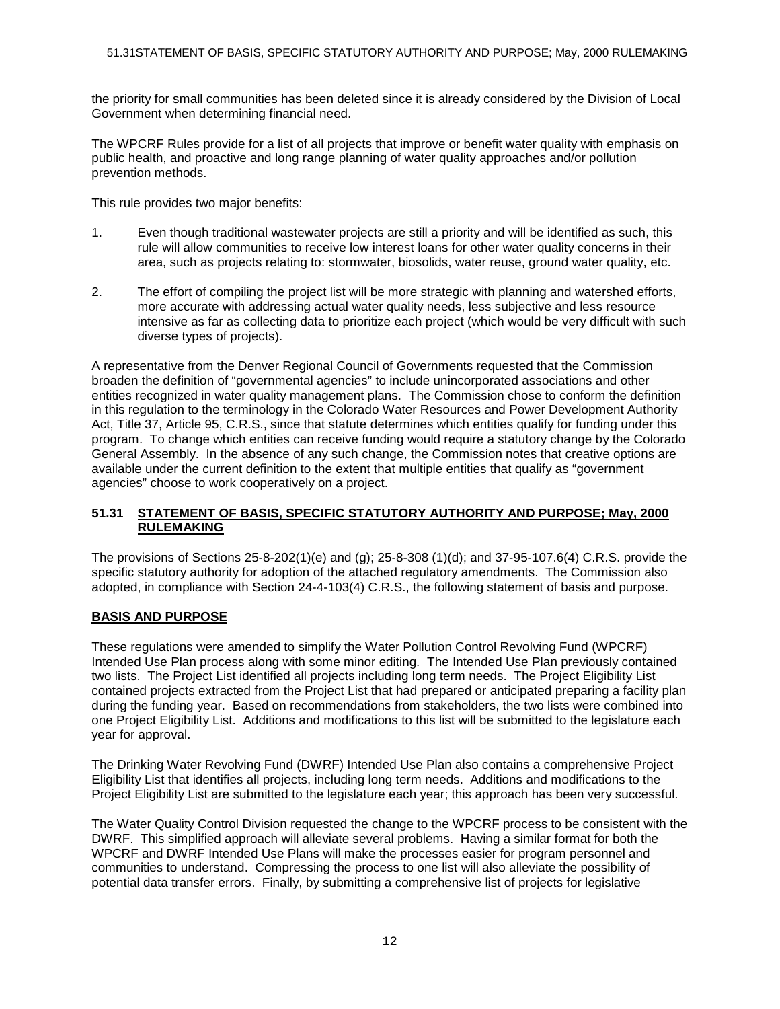the priority for small communities has been deleted since it is already considered by the Division of Local Government when determining financial need.

The WPCRF Rules provide for a list of all projects that improve or benefit water quality with emphasis on public health, and proactive and long range planning of water quality approaches and/or pollution prevention methods.

This rule provides two major benefits:

- 1. Even though traditional wastewater projects are still a priority and will be identified as such, this rule will allow communities to receive low interest loans for other water quality concerns in their area, such as projects relating to: stormwater, biosolids, water reuse, ground water quality, etc.
- 2. The effort of compiling the project list will be more strategic with planning and watershed efforts, more accurate with addressing actual water quality needs, less subjective and less resource intensive as far as collecting data to prioritize each project (which would be very difficult with such diverse types of projects).

A representative from the Denver Regional Council of Governments requested that the Commission broaden the definition of "governmental agencies" to include unincorporated associations and other entities recognized in water quality management plans. The Commission chose to conform the definition in this regulation to the terminology in the Colorado Water Resources and Power Development Authority Act, Title 37, Article 95, C.R.S., since that statute determines which entities qualify for funding under this program. To change which entities can receive funding would require a statutory change by the Colorado General Assembly. In the absence of any such change, the Commission notes that creative options are available under the current definition to the extent that multiple entities that qualify as "government agencies" choose to work cooperatively on a project.

### **51.31 STATEMENT OF BASIS, SPECIFIC STATUTORY AUTHORITY AND PURPOSE; May, 2000 RULEMAKING**

The provisions of Sections 25-8-202(1)(e) and (g); 25-8-308 (1)(d); and 37-95-107.6(4) C.R.S. provide the specific statutory authority for adoption of the attached regulatory amendments. The Commission also adopted, in compliance with Section 24-4-103(4) C.R.S., the following statement of basis and purpose.

## **BASIS AND PURPOSE**

These regulations were amended to simplify the Water Pollution Control Revolving Fund (WPCRF) Intended Use Plan process along with some minor editing. The Intended Use Plan previously contained two lists. The Project List identified all projects including long term needs. The Project Eligibility List contained projects extracted from the Project List that had prepared or anticipated preparing a facility plan during the funding year. Based on recommendations from stakeholders, the two lists were combined into one Project Eligibility List. Additions and modifications to this list will be submitted to the legislature each year for approval.

The Drinking Water Revolving Fund (DWRF) Intended Use Plan also contains a comprehensive Project Eligibility List that identifies all projects, including long term needs. Additions and modifications to the Project Eligibility List are submitted to the legislature each year; this approach has been very successful.

The Water Quality Control Division requested the change to the WPCRF process to be consistent with the DWRF. This simplified approach will alleviate several problems. Having a similar format for both the WPCRF and DWRF Intended Use Plans will make the processes easier for program personnel and communities to understand. Compressing the process to one list will also alleviate the possibility of potential data transfer errors. Finally, by submitting a comprehensive list of projects for legislative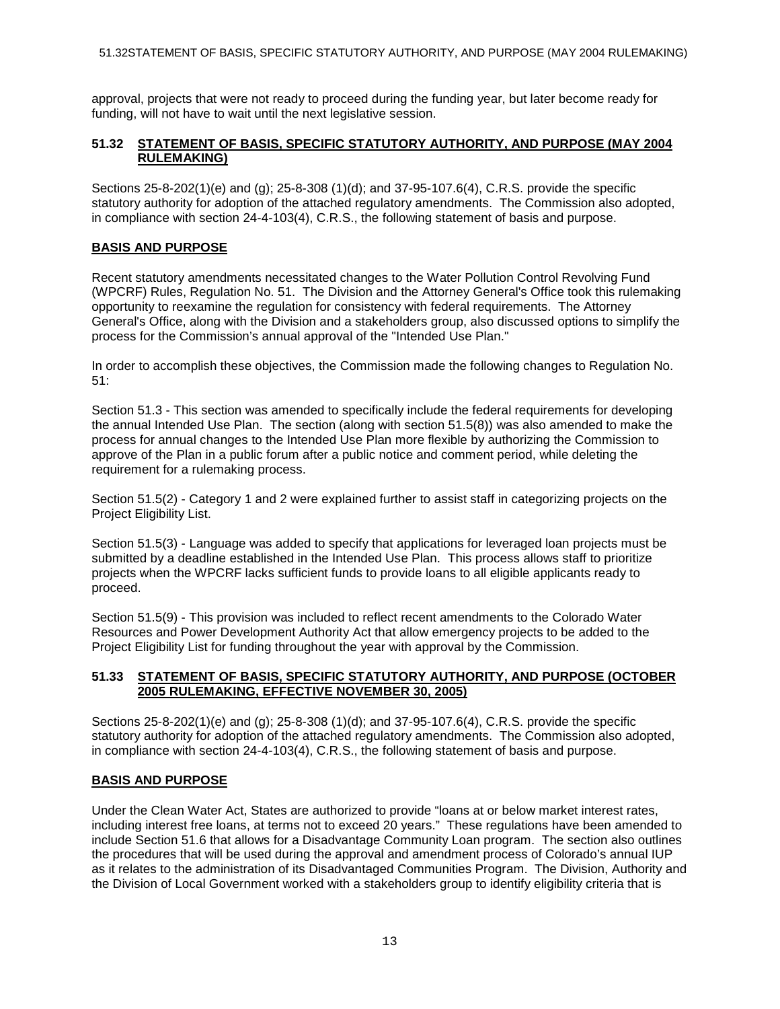approval, projects that were not ready to proceed during the funding year, but later become ready for funding, will not have to wait until the next legislative session.

### **51.32 STATEMENT OF BASIS, SPECIFIC STATUTORY AUTHORITY, AND PURPOSE (MAY 2004 RULEMAKING)**

Sections 25-8-202(1)(e) and (g); 25-8-308 (1)(d); and 37-95-107.6(4), C.R.S. provide the specific statutory authority for adoption of the attached regulatory amendments. The Commission also adopted, in compliance with section 24-4-103(4), C.R.S., the following statement of basis and purpose.

## **BASIS AND PURPOSE**

Recent statutory amendments necessitated changes to the Water Pollution Control Revolving Fund (WPCRF) Rules, Regulation No. 51. The Division and the Attorney General's Office took this rulemaking opportunity to reexamine the regulation for consistency with federal requirements. The Attorney General's Office, along with the Division and a stakeholders group, also discussed options to simplify the process for the Commission's annual approval of the "Intended Use Plan."

In order to accomplish these objectives, the Commission made the following changes to Regulation No. 51:

Section 51.3 - This section was amended to specifically include the federal requirements for developing the annual Intended Use Plan. The section (along with section 51.5(8)) was also amended to make the process for annual changes to the Intended Use Plan more flexible by authorizing the Commission to approve of the Plan in a public forum after a public notice and comment period, while deleting the requirement for a rulemaking process.

Section 51.5(2) - Category 1 and 2 were explained further to assist staff in categorizing projects on the Project Eligibility List.

Section 51.5(3) - Language was added to specify that applications for leveraged loan projects must be submitted by a deadline established in the Intended Use Plan. This process allows staff to prioritize projects when the WPCRF lacks sufficient funds to provide loans to all eligible applicants ready to proceed.

Section 51.5(9) - This provision was included to reflect recent amendments to the Colorado Water Resources and Power Development Authority Act that allow emergency projects to be added to the Project Eligibility List for funding throughout the year with approval by the Commission.

#### **51.33 STATEMENT OF BASIS, SPECIFIC STATUTORY AUTHORITY, AND PURPOSE (OCTOBER 2005 RULEMAKING, EFFECTIVE NOVEMBER 30, 2005)**

Sections 25-8-202(1)(e) and (g); 25-8-308 (1)(d); and 37-95-107.6(4), C.R.S. provide the specific statutory authority for adoption of the attached regulatory amendments. The Commission also adopted, in compliance with section 24-4-103(4), C.R.S., the following statement of basis and purpose.

#### **BASIS AND PURPOSE**

Under the Clean Water Act, States are authorized to provide "loans at or below market interest rates, including interest free loans, at terms not to exceed 20 years." These regulations have been amended to include Section 51.6 that allows for a Disadvantage Community Loan program. The section also outlines the procedures that will be used during the approval and amendment process of Colorado's annual IUP as it relates to the administration of its Disadvantaged Communities Program. The Division, Authority and the Division of Local Government worked with a stakeholders group to identify eligibility criteria that is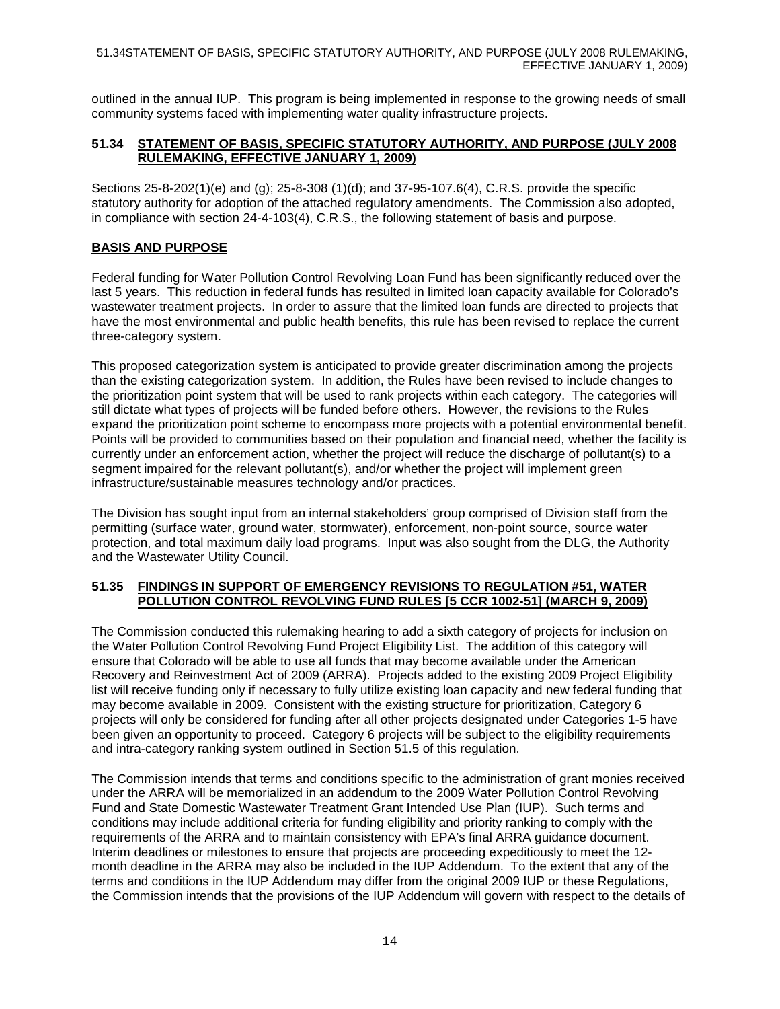outlined in the annual IUP. This program is being implemented in response to the growing needs of small community systems faced with implementing water quality infrastructure projects.

## **51.34 STATEMENT OF BASIS, SPECIFIC STATUTORY AUTHORITY, AND PURPOSE (JULY 2008 RULEMAKING, EFFECTIVE JANUARY 1, 2009)**

Sections 25-8-202(1)(e) and (g); 25-8-308 (1)(d); and 37-95-107.6(4), C.R.S. provide the specific statutory authority for adoption of the attached regulatory amendments. The Commission also adopted, in compliance with section 24-4-103(4), C.R.S., the following statement of basis and purpose.

## **BASIS AND PURPOSE**

Federal funding for Water Pollution Control Revolving Loan Fund has been significantly reduced over the last 5 years. This reduction in federal funds has resulted in limited loan capacity available for Colorado's wastewater treatment projects. In order to assure that the limited loan funds are directed to projects that have the most environmental and public health benefits, this rule has been revised to replace the current three-category system.

This proposed categorization system is anticipated to provide greater discrimination among the projects than the existing categorization system. In addition, the Rules have been revised to include changes to the prioritization point system that will be used to rank projects within each category. The categories will still dictate what types of projects will be funded before others. However, the revisions to the Rules expand the prioritization point scheme to encompass more projects with a potential environmental benefit. Points will be provided to communities based on their population and financial need, whether the facility is currently under an enforcement action, whether the project will reduce the discharge of pollutant(s) to a segment impaired for the relevant pollutant(s), and/or whether the project will implement green infrastructure/sustainable measures technology and/or practices.

The Division has sought input from an internal stakeholders' group comprised of Division staff from the permitting (surface water, ground water, stormwater), enforcement, non-point source, source water protection, and total maximum daily load programs. Input was also sought from the DLG, the Authority and the Wastewater Utility Council.

#### **51.35 FINDINGS IN SUPPORT OF EMERGENCY REVISIONS TO REGULATION #51, WATER POLLUTION CONTROL REVOLVING FUND RULES [5 CCR 1002-51] (MARCH 9, 2009)**

The Commission conducted this rulemaking hearing to add a sixth category of projects for inclusion on the Water Pollution Control Revolving Fund Project Eligibility List. The addition of this category will ensure that Colorado will be able to use all funds that may become available under the American Recovery and Reinvestment Act of 2009 (ARRA). Projects added to the existing 2009 Project Eligibility list will receive funding only if necessary to fully utilize existing loan capacity and new federal funding that may become available in 2009. Consistent with the existing structure for prioritization, Category 6 projects will only be considered for funding after all other projects designated under Categories 1-5 have been given an opportunity to proceed. Category 6 projects will be subject to the eligibility requirements and intra-category ranking system outlined in Section 51.5 of this regulation.

The Commission intends that terms and conditions specific to the administration of grant monies received under the ARRA will be memorialized in an addendum to the 2009 Water Pollution Control Revolving Fund and State Domestic Wastewater Treatment Grant Intended Use Plan (IUP). Such terms and conditions may include additional criteria for funding eligibility and priority ranking to comply with the requirements of the ARRA and to maintain consistency with EPA's final ARRA guidance document. Interim deadlines or milestones to ensure that projects are proceeding expeditiously to meet the 12 month deadline in the ARRA may also be included in the IUP Addendum. To the extent that any of the terms and conditions in the IUP Addendum may differ from the original 2009 IUP or these Regulations, the Commission intends that the provisions of the IUP Addendum will govern with respect to the details of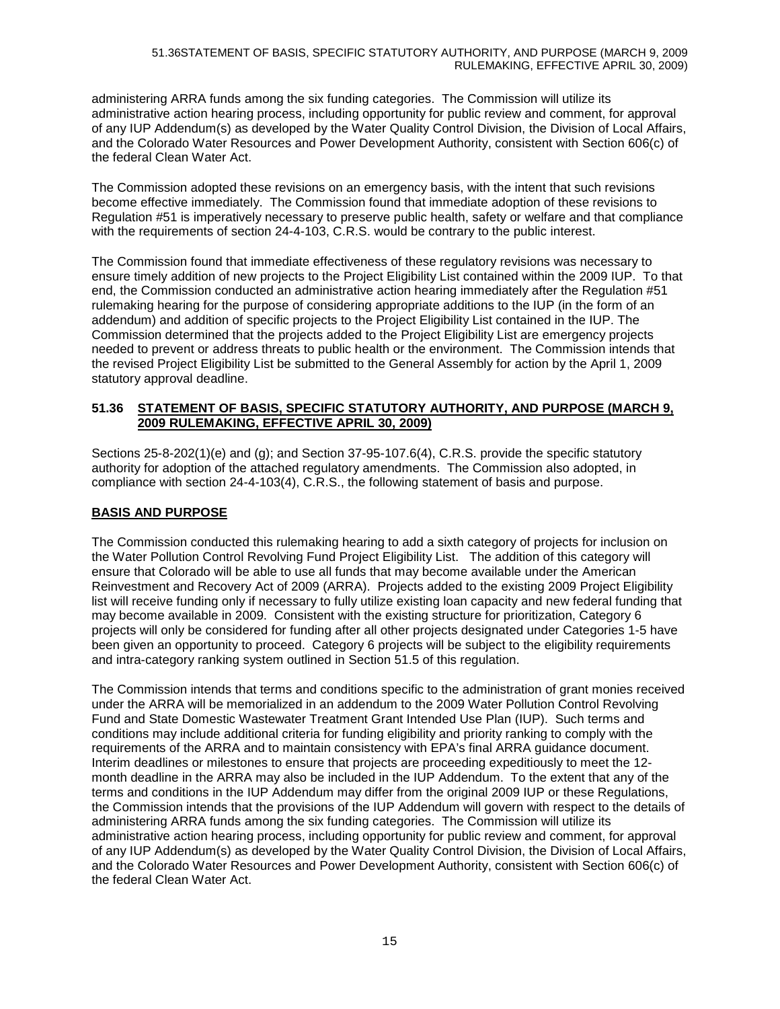administering ARRA funds among the six funding categories. The Commission will utilize its administrative action hearing process, including opportunity for public review and comment, for approval of any IUP Addendum(s) as developed by the Water Quality Control Division, the Division of Local Affairs, and the Colorado Water Resources and Power Development Authority, consistent with Section 606(c) of the federal Clean Water Act.

The Commission adopted these revisions on an emergency basis, with the intent that such revisions become effective immediately. The Commission found that immediate adoption of these revisions to Regulation #51 is imperatively necessary to preserve public health, safety or welfare and that compliance with the requirements of section 24-4-103, C.R.S. would be contrary to the public interest.

The Commission found that immediate effectiveness of these regulatory revisions was necessary to ensure timely addition of new projects to the Project Eligibility List contained within the 2009 IUP. To that end, the Commission conducted an administrative action hearing immediately after the Regulation #51 rulemaking hearing for the purpose of considering appropriate additions to the IUP (in the form of an addendum) and addition of specific projects to the Project Eligibility List contained in the IUP. The Commission determined that the projects added to the Project Eligibility List are emergency projects needed to prevent or address threats to public health or the environment. The Commission intends that the revised Project Eligibility List be submitted to the General Assembly for action by the April 1, 2009 statutory approval deadline.

## **51.36 STATEMENT OF BASIS, SPECIFIC STATUTORY AUTHORITY, AND PURPOSE (MARCH 9, 2009 RULEMAKING, EFFECTIVE APRIL 30, 2009)**

Sections 25-8-202(1)(e) and (g); and Section 37-95-107.6(4), C.R.S. provide the specific statutory authority for adoption of the attached regulatory amendments. The Commission also adopted, in compliance with section 24-4-103(4), C.R.S., the following statement of basis and purpose.

## **BASIS AND PURPOSE**

The Commission conducted this rulemaking hearing to add a sixth category of projects for inclusion on the Water Pollution Control Revolving Fund Project Eligibility List. The addition of this category will ensure that Colorado will be able to use all funds that may become available under the American Reinvestment and Recovery Act of 2009 (ARRA). Projects added to the existing 2009 Project Eligibility list will receive funding only if necessary to fully utilize existing loan capacity and new federal funding that may become available in 2009. Consistent with the existing structure for prioritization, Category 6 projects will only be considered for funding after all other projects designated under Categories 1-5 have been given an opportunity to proceed. Category 6 projects will be subject to the eligibility requirements and intra-category ranking system outlined in Section 51.5 of this regulation.

The Commission intends that terms and conditions specific to the administration of grant monies received under the ARRA will be memorialized in an addendum to the 2009 Water Pollution Control Revolving Fund and State Domestic Wastewater Treatment Grant Intended Use Plan (IUP). Such terms and conditions may include additional criteria for funding eligibility and priority ranking to comply with the requirements of the ARRA and to maintain consistency with EPA's final ARRA guidance document. Interim deadlines or milestones to ensure that projects are proceeding expeditiously to meet the 12 month deadline in the ARRA may also be included in the IUP Addendum. To the extent that any of the terms and conditions in the IUP Addendum may differ from the original 2009 IUP or these Regulations, the Commission intends that the provisions of the IUP Addendum will govern with respect to the details of administering ARRA funds among the six funding categories. The Commission will utilize its administrative action hearing process, including opportunity for public review and comment, for approval of any IUP Addendum(s) as developed by the Water Quality Control Division, the Division of Local Affairs, and the Colorado Water Resources and Power Development Authority, consistent with Section 606(c) of the federal Clean Water Act.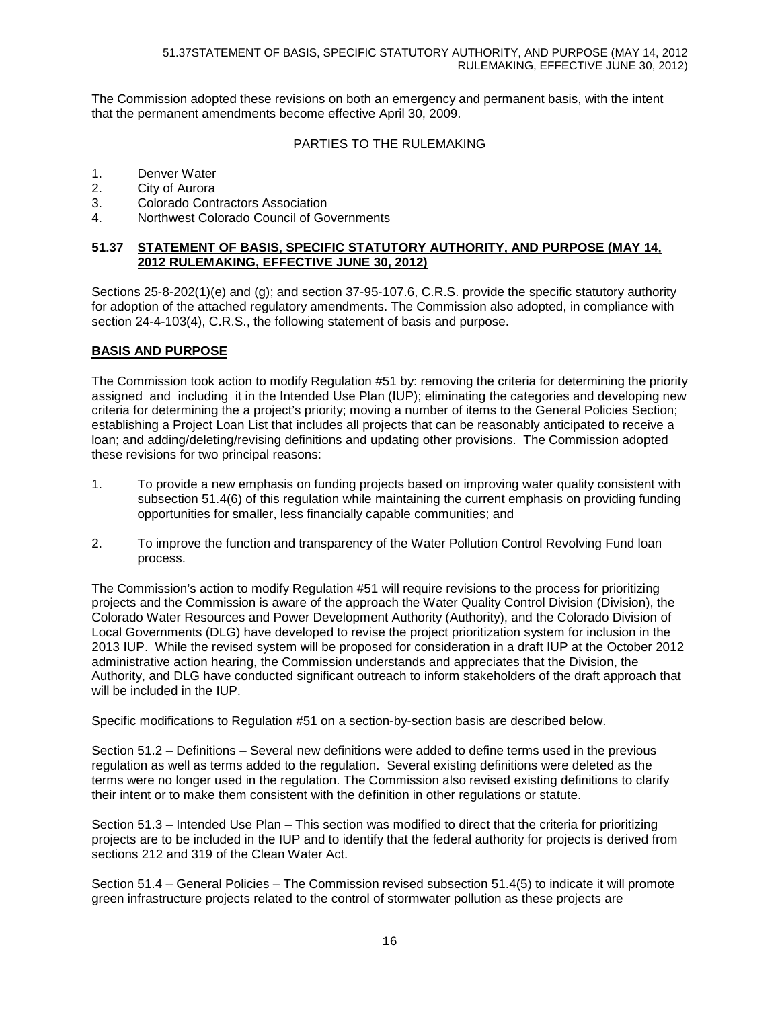The Commission adopted these revisions on both an emergency and permanent basis, with the intent that the permanent amendments become effective April 30, 2009.

## PARTIES TO THE RULEMAKING

- 1. Denver Water
- 2. City of Aurora
- 3. Colorado Contractors Association<br>4 Morthwest Colorado Council of Go
- Northwest Colorado Council of Governments

#### **51.37 STATEMENT OF BASIS, SPECIFIC STATUTORY AUTHORITY, AND PURPOSE (MAY 14, 2012 RULEMAKING, EFFECTIVE JUNE 30, 2012)**

Sections 25-8-202(1)(e) and (g); and section 37-95-107.6, C.R.S. provide the specific statutory authority for adoption of the attached regulatory amendments. The Commission also adopted, in compliance with section 24-4-103(4), C.R.S., the following statement of basis and purpose.

#### **BASIS AND PURPOSE**

The Commission took action to modify Regulation #51 by: removing the criteria for determining the priority assigned and including it in the Intended Use Plan (IUP); eliminating the categories and developing new criteria for determining the a project's priority; moving a number of items to the General Policies Section; establishing a Project Loan List that includes all projects that can be reasonably anticipated to receive a loan; and adding/deleting/revising definitions and updating other provisions. The Commission adopted these revisions for two principal reasons:

- 1. To provide a new emphasis on funding projects based on improving water quality consistent with subsection 51.4(6) of this regulation while maintaining the current emphasis on providing funding opportunities for smaller, less financially capable communities; and
- 2. To improve the function and transparency of the Water Pollution Control Revolving Fund loan process.

The Commission's action to modify Regulation #51 will require revisions to the process for prioritizing projects and the Commission is aware of the approach the Water Quality Control Division (Division), the Colorado Water Resources and Power Development Authority (Authority), and the Colorado Division of Local Governments (DLG) have developed to revise the project prioritization system for inclusion in the 2013 IUP. While the revised system will be proposed for consideration in a draft IUP at the October 2012 administrative action hearing, the Commission understands and appreciates that the Division, the Authority, and DLG have conducted significant outreach to inform stakeholders of the draft approach that will be included in the IUP.

Specific modifications to Regulation #51 on a section-by-section basis are described below.

Section 51.2 – Definitions – Several new definitions were added to define terms used in the previous regulation as well as terms added to the regulation. Several existing definitions were deleted as the terms were no longer used in the regulation. The Commission also revised existing definitions to clarify their intent or to make them consistent with the definition in other regulations or statute.

Section 51.3 – Intended Use Plan – This section was modified to direct that the criteria for prioritizing projects are to be included in the IUP and to identify that the federal authority for projects is derived from sections 212 and 319 of the Clean Water Act.

Section 51.4 – General Policies – The Commission revised subsection 51.4(5) to indicate it will promote green infrastructure projects related to the control of stormwater pollution as these projects are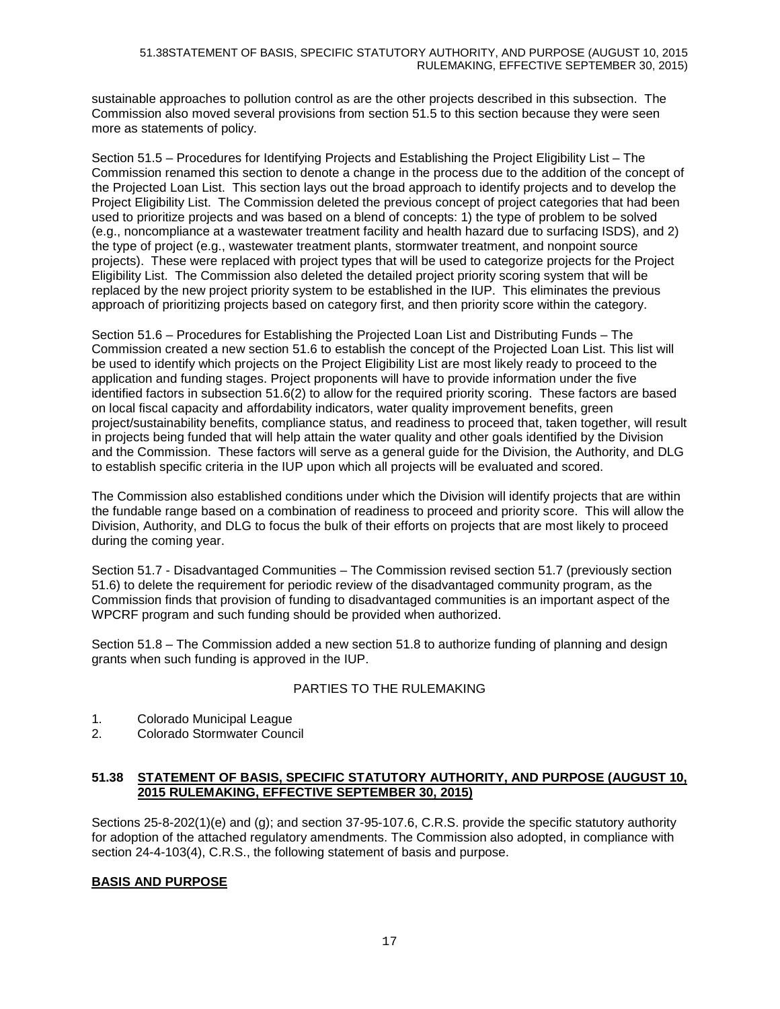#### 51.38STATEMENT OF BASIS, SPECIFIC STATUTORY AUTHORITY, AND PURPOSE (AUGUST 10, 2015 RULEMAKING, EFFECTIVE SEPTEMBER 30, 2015)

sustainable approaches to pollution control as are the other projects described in this subsection. The Commission also moved several provisions from section 51.5 to this section because they were seen more as statements of policy.

Section 51.5 – Procedures for Identifying Projects and Establishing the Project Eligibility List – The Commission renamed this section to denote a change in the process due to the addition of the concept of the Projected Loan List. This section lays out the broad approach to identify projects and to develop the Project Eligibility List. The Commission deleted the previous concept of project categories that had been used to prioritize projects and was based on a blend of concepts: 1) the type of problem to be solved (e.g., noncompliance at a wastewater treatment facility and health hazard due to surfacing ISDS), and 2) the type of project (e.g., wastewater treatment plants, stormwater treatment, and nonpoint source projects). These were replaced with project types that will be used to categorize projects for the Project Eligibility List. The Commission also deleted the detailed project priority scoring system that will be replaced by the new project priority system to be established in the IUP. This eliminates the previous approach of prioritizing projects based on category first, and then priority score within the category.

Section 51.6 – Procedures for Establishing the Projected Loan List and Distributing Funds – The Commission created a new section 51.6 to establish the concept of the Projected Loan List. This list will be used to identify which projects on the Project Eligibility List are most likely ready to proceed to the application and funding stages. Project proponents will have to provide information under the five identified factors in subsection 51.6(2) to allow for the required priority scoring. These factors are based on local fiscal capacity and affordability indicators, water quality improvement benefits, green project/sustainability benefits, compliance status, and readiness to proceed that, taken together, will result in projects being funded that will help attain the water quality and other goals identified by the Division and the Commission. These factors will serve as a general guide for the Division, the Authority, and DLG to establish specific criteria in the IUP upon which all projects will be evaluated and scored.

The Commission also established conditions under which the Division will identify projects that are within the fundable range based on a combination of readiness to proceed and priority score. This will allow the Division, Authority, and DLG to focus the bulk of their efforts on projects that are most likely to proceed during the coming year.

Section 51.7 - Disadvantaged Communities – The Commission revised section 51.7 (previously section 51.6) to delete the requirement for periodic review of the disadvantaged community program, as the Commission finds that provision of funding to disadvantaged communities is an important aspect of the WPCRF program and such funding should be provided when authorized.

Section 51.8 – The Commission added a new section 51.8 to authorize funding of planning and design grants when such funding is approved in the IUP.

# PARTIES TO THE RULEMAKING

- 1. Colorado Municipal League
- 2. Colorado Stormwater Council

#### **51.38 STATEMENT OF BASIS, SPECIFIC STATUTORY AUTHORITY, AND PURPOSE (AUGUST 10, 2015 RULEMAKING, EFFECTIVE SEPTEMBER 30, 2015)**

Sections 25-8-202(1)(e) and (g); and section 37-95-107.6, C.R.S. provide the specific statutory authority for adoption of the attached regulatory amendments. The Commission also adopted, in compliance with section 24-4-103(4), C.R.S., the following statement of basis and purpose.

## **BASIS AND PURPOSE**